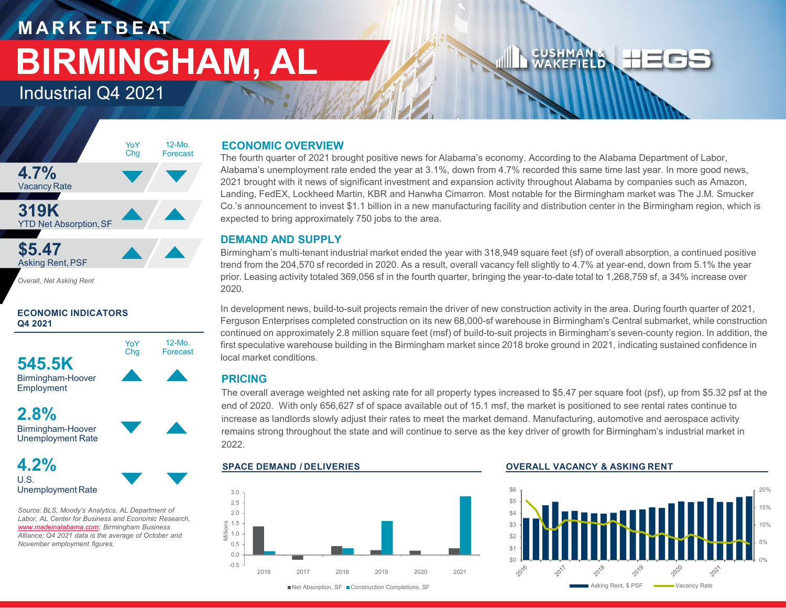# **M A R K E T B E AT BIRMINGHAM, AL**

12-Mo. Forecast

YoY Chg

Industrial Q4 2021



*Overall, Net Asking Rent*

# **ECONOMIC INDICATORS Q4 2021**



Birmingham-Hoover Employment

**2.8%** Birmingham-Hoover



Unemployment Rate

U.S. Unemployment Rate

*Source: BLS, Moody's Analytics, AL Department of Labor, AL Center for Business and Economic Research, [www.madeinalabama.com](http://www.madeinalabama.com/); Birmingham Business Alliance; Q4 2021 data is the average of October and November employment figures.* 

# **ECONOMIC OVERVIEW**

The fourth quarter of 2021 brought positive news for Alabama's economy. According to the Alabama Department of Labor, Alabama's unemployment rate ended the year at 3.1%, down from 4.7% recorded this same time last year. In more good news, 2021 brought with it news of significant investment and expansion activity throughout Alabama by companies such as Amazon, Landing, FedEX, Lockheed Martin, KBR and Hanwha Cimarron. Most notable for the Birmingham market was The J.M. Smucker Co.'s announcement to invest \$1.1 billion in a new manufacturing facility and distribution center in the Birmingham region, which is expected to bring approximately 750 jobs to the area.

# **DEMAND AND SUPPLY**

Birmingham's multi-tenant industrial market ended the year with 318,949 square feet (sf) of overall absorption, a continued positive trend from the 204,570 sf recorded in 2020. As a result, overall vacancy fell slightly to 4.7% at year-end, down from 5.1% the year prior. Leasing activity totaled 369,056 sf in the fourth quarter, bringing the year-to-date total to 1,268,759 sf, a 34% increase over 2020.

In development news, build-to-suit projects remain the driver of new construction activity in the area. During fourth quarter of 2021, Ferguson Enterprises completed construction on its new 68,000-sf warehouse in Birmingham's Central submarket, while construction continued on approximately 2.8 million square feet (msf) of build-to-suit projects in Birmingham's seven-county region. In addition, the first speculative warehouse building in the Birmingham market since 2018 broke ground in 2021, indicating sustained confidence in local market conditions.

# **PRICING**

The overall average weighted net asking rate for all property types increased to \$5.47 per square foot (psf), up from \$5.32 psf at the end of 2020. With only 656,627 sf of space available out of 15.1 msf, the market is positioned to see rental rates continue to increase as landlords slowly adjust their rates to meet the market demand. Manufacturing, automotive and aerospace activity remains strong throughout the state and will continue to serve as the key driver of growth for Birmingham's industrial market in 2022.



## **SPACE DEMAND / DELIVERIES OVERALL VACANCY & ASKING RENT**

CUSHMAN&<br>WAKEFIELD